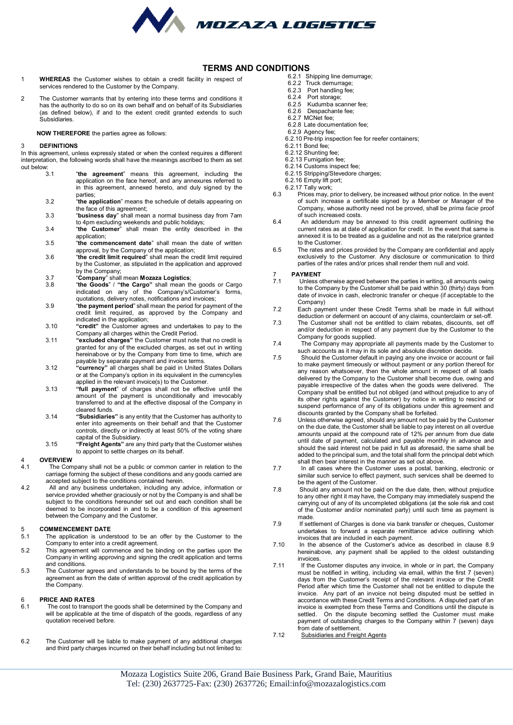

#### **TERMS AND CONDITIONS**

- 1 **WHEREAS** the Customer wishes to obtain a credit facility in respect of services rendered to the Customer by the Company.
- 2 The Customer warrants that by entering into these terms and conditions it has the authority to do so on its own behalf and on behalf of its Subsidiaries (as defined below), if and to the extent credit granted extends to such Subsidiaries.

**NOW THEREFORE** the parties agree as follows:

#### 3 **DEFINITIONS**

In this agreement, unless expressly stated or when the context requires a different interpretation, the following words shall have the meanings ascribed to them as set out below:<br>3.1

- 3.1 "**the agreement**" means this agreement, including the application on the face hereof, and any annexures referred to in this agreement, annexed hereto, and duly signed by the parties;
- 3.2 "**the application**" means the schedule of details appearing on the face of this agreement;
- 3.3 "**business day**" shall mean a normal business day from 7am to 4pm excluding weekends and public holidays;
- 3.4 "**the Customer**" shall mean the entity described in the application;
- 3.5 "**the commencement date**" shall mean the date of written approval, by the Company of the application;
- 3.6 "**the credit limit required**" shall mean the credit limit required by the Customer, as stipulated in the application and approved by the Company;
- 3.7 "**Company**" shall mean **Mozaza Logistics**;
- 3.8 "**the Goods**" / **"the Cargo"** shall mean the goods or Cargo indicated on any of the Company's/Customer's forms, quotations, delivery notes, notifications and invoices;
- 3.9 "**the payment period**" shall mean the period for payment of the credit limit required, as approved by the Company and indicated in the application;
- 3.10 **"credit"** the Customer agrees and undertakes to pay to the Company all charges within the Credit Period.
- 3.11 **"excluded charges"** the Customer must note that no credit is granted for any of the excluded charges, as set out in writing hereinabove or by the Company from time to time, which are payable by separate payment and invoice terms.
- 3.12 **"currency"** all charges shall be paid in United States Dollars or at the Company's option in its equivalent in the currency/ies applied in the relevant invoice(s) to the Customer.
- 3.13 **"full payment**" of charges shall not be effective until the amount of the payment is unconditionally and irrevocably transferred to and at the effective disposal of the Company in cleared funds.
- 3.14 **"Subsidiaries"** is any entity that the Customer has authority to enter into agreements on their behalf and that the Customer controls, directly or indirectly at least 50% of the voting share capital of the Subsidiary.
- 3.15 **"Freight Agents"** are any third party that the Customer wishes to appoint to settle charges on its behalf.

## 4 **OVERVIEW**

- 4.1 The Company shall not be a public or common carrier in relation to the carriage forming the subject of these conditions and any goods carried are accepted subject to the conditions contained herein.
- 4.2 All and any business undertaken, including any advice, information or service provided whether graciously or not by the Company is and shall be subject to the conditions hereunder set out and each condition shall be deemed to be incorporated in and to be a condition of this agreement between the Company and the Customer.

## 5 **COMMENCEMENT DATE**<br>5.1 The application is unde

- The application is understood to be an offer by the Customer to the Company to enter into a credit agreement.
- 5.2 This agreement will commence and be binding on the parties upon the Company in writing approving and signing the credit application and terms and conditions.
- 5.3 The Customer agrees and understands to be bound by the terms of the agreement as from the date of written approval of the credit application by the Company.

## 6 **PRICE AND RATES**

- The cost to transport the goods shall be determined by the Company and will be applicable at the time of dispatch of the goods, regardless of any quotation received before.
- 6.2 The Customer will be liable to make payment of any additional charges and third party charges incurred on their behalf including but not limited to:
- 6.2.1 Shipping line demurrage;
- 6.2.2 Truck demurrage;
- 6.2.3 Port handling fee;<br>6.2.4 Port storage:
- 6.2.4 Port storage;<br>6.2.5 Kudumba sca
- 6.2.5 Kudumba scanner fee;<br>6.2.6 Despachante fee:
- Despachante fee;
- 6.2.7 MCNet fee;
- 6.2.8 Late documentation fee; 6.2.9 Agency fee;
- 6.2.10 Pre-trip inspection fee for reefer containers;
- 6.2.11 Bond fee;
- 6.2.12 Shunting fee;
- 6.2.13 Fumigation fee;
- 6.2.14 Customs inspect fee;
- 6.2.15 Stripping/Stevedore charges;
- 6.2.16 Empty lift port;
- 6.2.17 Tally work;
- 6.3 Prices may, prior to delivery, be increased without prior notice. In the event of such increase a certificate signed by a Member or Manager of the Company, whose authority need not be proved, shall be *prima facie* proof of such increased costs.
- 6.4 An addendum may be annexed to this credit agreement outlining the current rates as at date of application for credit. In the event that same is annexed it is to be treated as a guideline and not as the rate/price granted to the Customer.
- 6.5 The rates and prices provided by the Company are confidential and apply exclusively to the Customer. Any disclosure or communication to third parties of the rates and/or prices shall render them null and void.

## 7 **PAYMENT**

- Unless otherwise agreed between the parties in writing, all amounts owing to the Company by the Customer shall be paid within 30 (thirty) days from date of invoice in cash, electronic transfer or cheque (if acceptable to the Company)
- 7.2 Each payment under these Credit Terms shall be made in full without deduction or deferment on account of any claims, counterclaim or set-off.
- 7.3 The Customer shall not be entitled to claim rebates, discounts, set off and/or deduction in respect of any payment due by the Customer to the Company for goods supplied.
- 7.4 The Company may appropriate all payments made by the Customer to such accounts as it may in its sole and absolute discretion decide.
- 7.5 Should the Customer default in paying any one invoice or account or fail to make payment timeously or without payment or any portion thereof for any reason whatsoever, then the whole amount in respect of all loads delivered by the Company to the Customer shall become due, owing and payable irrespective of the dates when the goods were delivered. The Company shall be entitled but not obliged (and without prejudice to any of its other rights against the Customer) by notice in writing to rescind or suspend performance of any of its obligations under this agreement and discounts granted by the Company shall be forfeited.
- 7.6 Unless otherwise agreed, should any amount not be paid by the Customer on the due date, the Customer shall be liable to pay interest on all overdue amounts unpaid at the compound rate of 12% per annum from due date until date of payment, calculated and payable monthly in advance and should the said interest not be paid in full as aforesaid, the same shall be added to the principal sum, and the total shall form the principal debt which shall then bear interest in the manner as set out above.
- 7.7 In all cases where the Customer uses a postal, banking, electronic or similar such service to effect payment, such services shall be deemed to be the agent of the Customer.
- 7.8 Should any amount not be paid on the due date, then, without prejudice to any other right it may have, the Company may immediately suspend the carrying out of any of its uncompleted obligations (at the sole risk and cost of the Customer and/or nominated party) until such time as payment is made.
- 7.9 If settlement of Charges is done via bank transfer or cheques, Customer undertakes to forward a separate remittance advice outlining which invoices that are included in each payment.
- 7.10 In the absence of the Customer's advice as described in clause 8.9 hereinabove, any payment shall be applied to the oldest outstanding invoices.
- 7.11 If the Customer disputes any invoice, in whole or in part, the Company must be notified in writing, including via email, within the first 7 (seven) days from the Customer's receipt of the relevant invoice or the Credit Period after which time the Customer shall not be entitled to dispute the invoice. Any part of an invoice not being disputed must be settled in accordance with these Credit Terms and Conditions. A disputed part of an invoice is exempted from these Terms and Conditions until the dispute is settled. On the dispute becoming settled the Customer must make payment of outstanding charges to the Company within 7 (seven) days from date of settlement.
- 7.12 Subsidiaries and Freight Agents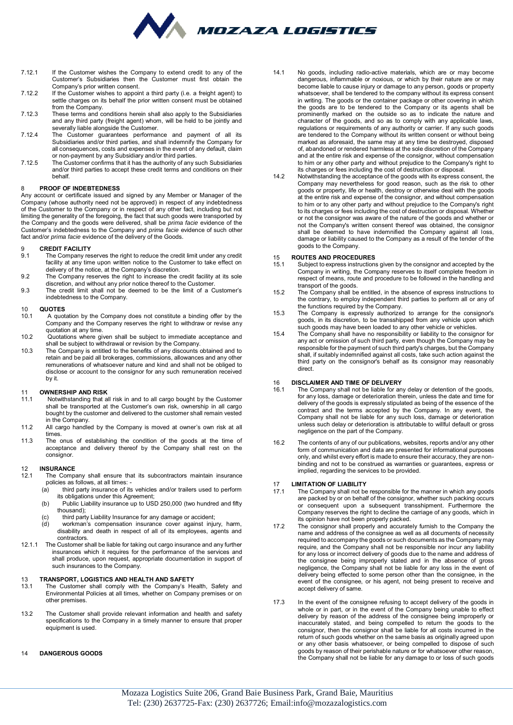

- 7.12.1 If the Customer wishes the Company to extend credit to any of the Customer's Subsidiaries then the Customer must first obtain the Company's prior written consent.
- 7.12.2 If the Customer wishes to appoint a third party (i.e. a freight agent) to settle charges on its behalf the prior written consent must be obtained from the Company.
- 7.12.3 These terms and conditions herein shall also apply to the Subsidiaries and any third party (freight agent) whom, will be held to be jointly and severally liable alongside the Customer.
- 7.12.4 The Customer guarantees performance and payment of all its Subsidiaries and/or third parties, and shall indemnify the Company for all consequences, costs and expenses in the event of any default, claim or non-payment by any Subsidiary and/or third parties.
- 7.12.5 The Customer confirms that it has the authority of any such Subsidiaries and/or third parties to accept these credit terms and conditions on their behalf.

#### 8 **PROOF OF INDEBTEDNESS**

Any account or certificate issued and signed by any Member or Manager of the Company (whose authority need not be approved) in respect of any indebtedness of the Customer to the Company or in respect of any other fact, including but not limiting the generality of the foregoing, the fact that such goods were transported by the Company and the goods were delivered, shall be *prima facie* evidence of the Customer's indebtedness to the Company and *prima facie* evidence of such other fact and/or *prima facie* evidence of the delivery of the Goods.

## 9 **CREDIT FACILITY**<br>9.1 The Company re

- The Company reserves the right to reduce the credit limit under any credit facility at any time upon written notice to the Customer to take effect on delivery of the notice, at the Company's discretion.
- 9.2 The Company reserves the right to increase the credit facility at its sole
- discretion, and without any prior notice thereof to the Customer. 9.3 The credit limit shall not be deemed to be the limit of a Customer's indebtedness to the Company.

# 10 **QUOTES**

- A quotation by the Company does not constitute a binding offer by the Company and the Company reserves the right to withdraw or revise any quotation at any time.
- 10.2 Quotations where given shall be subject to immediate acceptance and shall be subject to withdrawal or revision by the Company.
- 10.3 The Company is entitled to the benefits of any discounts obtained and to retain and be paid all brokerages, commissions, allowances and any other remunerations of whatsoever nature and kind and shall not be obliged to disclose or account to the consignor for any such remuneration received by it.

## 11 **OWNERSHIP AND RISK**

- 11.1 Notwithstanding that all risk in and to all cargo bought by the Customer shall be transported at the Customer's own risk, ownership in all cargo bought by the customer and delivered to the customer shall remain vested in the Company.
- 11.2 All cargo handled by the Company is moved at owner's own risk at all times.
- 11.3 The onus of establishing the condition of the goods at the time of acceptance and delivery thereof by the Company shall rest on the consignor.

## 12 **INSURANCE**

- The Company shall ensure that its subcontractors maintain insurance policies as follows, at all times:<br>(a) third party insurance of it
	- third party insurance of its vehicles and/or trailers used to perform its obligations under this Agreement;
	- (b) Public Liability insurance up to USD 250,000 (two hundred and fifty thousand);
	- (c) third party Liability Insurance for any damage or accident;<br>(d) workman's compensation insurance cover against inju
	- workman's compensation insurance cover against injury, harm, disability and death in respect of all of its employees, agents and contractors.
- 12.1.1 The Customer shall be liable for taking out cargo insurance and any further insurances which it requires for the performance of the services and shall produce, upon request, appropriate documentation in support of such insurances to the Company.

## 13 **TRANSPORT, LOGISTICS AND HEALTH AND SAFETY**

- The Customer shall comply with the Company's Health, Safety and Environmental Policies at all times, whether on Company premises or on other premises.
- 13.2 The Customer shall provide relevant information and health and safety specifications to the Company in a timely manner to ensure that proper equipment is used.

#### 14 **DANGEROUS GOODS**

- 14.1 No goods, including radio-active materials, which are or may become dangerous, inflammable or noxious, or which by their nature are or may become liable to cause injury or damage to any person, goods or property whatsoever, shall be tendered to the company without its express consent in writing. The goods or the container package or other covering in which the goods are to be tendered to the Company or its agents shall be prominently marked on the outside so as to indicate the nature and character of the goods, and so as to comply with any applicable laws, regulations or requirements of any authority or carrier. If any such goods are tendered to the Company without its written consent or without being marked as aforesaid, the same may at any time be destroyed, disposed of, abandoned or rendered harmless at the sole discretion of the Company and at the entire risk and expense of the consignor, without compensation to him or any other party and without prejudice to the Company's right to its charges or fees including the cost of destruction or disposal.
- 14.2 Notwithstanding the acceptance of the goods with its express consent, the Company may nevertheless for good reason, such as the risk to other goods or property, life or health, destroy or otherwise deal with the goods at the entire risk and expense of the consignor, and without compensation to him or to any other party and without prejudice to the Company's right to its charges or fees including the cost of destruction or disposal. Whether or not the consignor was aware of the nature of the goods and whether or not the Company's written consent thereof was obtained, the consignor shall be deemed to have indemnified the Company against all loss, damage or liability caused to the Company as a result of the tender of the goods to the Company.

#### 15 **ROUTES AND PROCEDURES**

- Subject to express instructions given by the consignor and accepted by the Company in writing, the Company reserves to itself complete freedom in respect of means, route and procedure to be followed in the handling and transport of the goods.
- 15.2 The Company shall be entitled, in the absence of express instructions to the contrary, to employ independent third parties to perform all or any of the functions required by the Company.
- 15.3 The Company is expressly authorized to arrange for the consignor's goods, in its discretion, to be transshipped from any vehicle upon which such goods may have been loaded to any other vehicle or vehicles.
- 15.4 The Company shall have no responsibility or liability to the consignor for any act or omission of such third party, even though the Company may be responsible for the payment of such third party's charges, but the Company shall, if suitably indemnified against all costs, take such action against the third party on the consignor's behalf as its consignor may reasonably direct.

# 16 **DISCLAIMER AND TIME OF DELIVERY**

- 16.1 The Company shall not be liable for any delay or detention of the goods, for any loss, damage or deterioration therein, unless the date and time for delivery of the goods is expressly stipulated as being of the essence of the contract and the terms accepted by the Company. In any event, the Company shall not be liable for any such loss, damage or deterioration unless such delay or deterioration is attributable to willful default or gross negligence on the part of the Company.
- 16.2 The contents of any of our publications, websites, reports and/or any other form of communication and data are presented for informational purposes only, and whilst every effort is made to ensure their accuracy, they are nonbinding and not to be construed as warranties or guarantees, express or implied, regarding the services to be provided.

## 17 **LIMITATION OF LIABILITY**<br>17.1 The Company shall not be

- 17.1 The Company shall not be responsible for the manner in which any goods are packed by or on behalf of the consignor, whether such packing occurs or consequent upon a subsequent transshipment. Furthermore the Company reserves the right to decline the carriage of any goods, which in its opinion have not been properly packed.
- 17.2 The consignor shall properly and accurately furnish to the Company the name and address of the consignee as well as all documents of necessity required to accompany the goods or such documents as the Company may require, and the Company shall not be responsible nor incur any liability for any loss or incorrect delivery of goods due to the name and address of the consignee being improperly stated and in the absence of gross negligence, the Company shall not be liable for any loss in the event of delivery being effected to some person other than the consignee, in the event of the consignee, or his agent, not being present to receive and accept delivery of same.
- 17.3 In the event of the consignee refusing to accept delivery of the goods in whole or in part, or in the event of the Company being unable to effect delivery by reason of the address of the consignee being improperly or inaccurately stated, and being compelled to return the goods to the consignor, then the consignor shall be liable for all costs incurred in the return of such goods whether on the same basis as originally agreed upon or any other basis whatsoever, or being compelled to dispose of such goods by reason of their perishable nature or for whatsoever other reason, the Company shall not be liable for any damage to or loss of such goods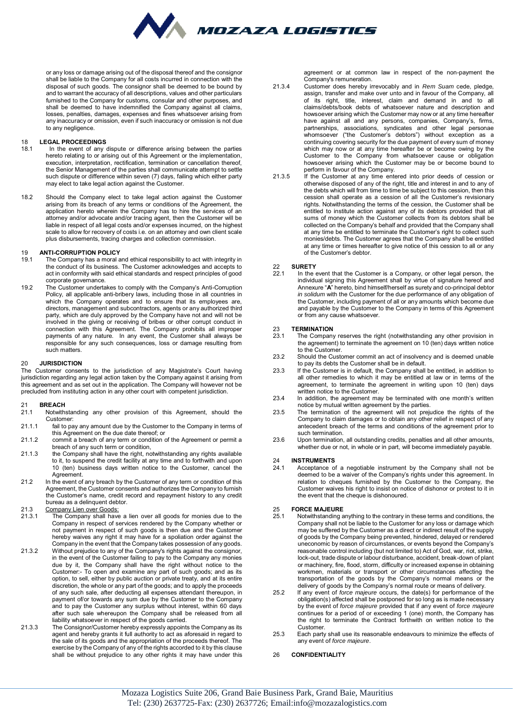

or any loss or damage arising out of the disposal thereof and the consignor shall be liable to the Company for all costs incurred in connection with the disposal of such goods. The consignor shall be deemed to be bound by and to warrant the accuracy of all descriptions, values and other particulars furnished to the Company for customs, consular and other purposes, and shall be deemed to have indemnified the Company against all claims, losses, penalties, damages, expenses and fines whatsoever arising from any inaccuracy or omission, even if such inaccuracy or omission is not due to any negligence.

## 18 **LEGAL PROCEEDINGS**<br>18.1 In the event of any

- 18.1 In the event of any dispute or difference arising between the parties hereto relating to or arising out of this Agreement or the implementation, execution, interpretation, rectification, termination or cancellation thereof, the Senior Management of the parties shall communicate attempt to settle such dispute or difference within seven (7) days, failing which either party may elect to take legal action against the Customer.
- 18.2 Should the Company elect to take legal action against the Customer arising from its breach of any terms or conditions of the Agreement, the application hereto wherein the Company has to hire the services of an attorney and/or advocate and/or tracing agent, then the Customer will be liable in respect of all legal costs and/or expenses incurred, on the highest scale to allow for recovery of costs i.e. on an attorney and own client scale plus disbursements, tracing charges and collection commission.

## 19 **ANTI-CORRUPTION POLICY**

- The Company has a moral and ethical responsibility to act with integrity in the conduct of its business. The Customer acknowledges and accepts to act in conformity with said ethical standards and respect principles of good corporate governance.
- 19.2 The Customer undertakes to comply with the Company's Anti-Corruption Policy, all applicable anti-bribery laws, including those in all countries in which the Company operates and to ensure that its employees are, directors, management and subcontractors, agents or any authorized third party, which are duly approved by the Company have not and will not be involved in the giving or receiving of bribes or other corrupt conduct in connection with this Agreement. The Company prohibits all improper payments of any nature. In any event, the Customer shall always be responsible for any such consequences, loss or damage resulting from such matters.

#### 20 **JURISDICTION**

The Customer consents to the jurisdiction of any Magistrate's Court having jurisdiction regarding any legal action taken by the Company against it arising from this agreement and as set out in the application. The Company will however not be precluded from instituting action in any other court with competent jurisdiction.

## 21 **BREACH**<br>21.1 Notwith

- Notwithstanding any other provision of this Agreement, should the Customer:
- 21.1.1 fail to pay any amount due by the Customer to the Company in terms of this Agreement on the due date thereof; or
- 21.1.2 commit a breach of any term or condition of the Agreement or permit a breach of any such term or condition,
- 21.1.3 the Company shall have the right, notwithstanding any rights available to it, to suspend the credit facility at any time and to forthwith and upon 10 (ten) business days written notice to the Customer, cancel the Agreement.
- 21.2 In the event of any breach by the Customer of any term or condition of this Agreement, the Customer consents and authorizes the Company to furnish the Customer's name, credit record and repayment history to any credit bureau as a delinquent debtor.
- 21.3 Company Lien over Goods:<br>21.3.1 The Company shall have
- The Company shall have a lien over all goods for monies due to the Company in respect of services rendered by the Company whether or not payment in respect of such goods is then due and the Customer hereby waives any right it may have for a spoliation order against the Company in the event that the Company takes possession of any goods.
- 21.3.2 Without prejudice to any of the Company's rights against the consignor, in the event of the Customer failing to pay to the Company any monies due by it, the Company shall have the right without notice to the Customer:- To open and examine any part of such goods; and as its option, to sell, either by public auction or private treaty, and at its entire discretion, the whole or any part of the goods; and to apply the proceeds of any such sale, after deducting all expenses attendant thereupon, in payment of/or towards any sum due by the Customer to the Company and to pay the Customer any surplus without interest, within 60 days after such sale whereupon the Company shall be released from all liability whatsoever in respect of the goods carried.
- 21.3.3 The Consignor/Customer hereby expressly appoints the Company as its agent and hereby grants it full authority to act as aforesaid in regard to the sale of its goods and the appropriation of the proceeds thereof. The exercise by the Company of any of the rights accorded to it by this clause shall be without prejudice to any other rights it may have under this

agreement or at common law in respect of the non-payment the Company's remuneration.

- 21.3.4 Customer does hereby irrevocably and in *Rem Suam* cede, pledge, assign, transfer and make over unto and in favour of the Company, all of its right, title, interest, claim and demand in and to all claims/debts/book debts of whatsoever nature and description and howsoever arising which the Customer may now or at any time hereafter have against all and any persons, companies, Company's, firms, partnerships, associations, syndicates and other legal personae whomsoever ("the Customer's debtors") without exception as a continuing covering security for the due payment of every sum of money which may now or at any time hereafter be or become owing by the Customer to the Company from whatsoever cause or obligation howsoever arising which the Customer may be or become bound to perform in favour of the Company.
- 21.3.5 If the Customer at any time entered into prior deeds of cession or otherwise disposed of any of the right, title and interest in and to any of the debts which will from time to time be subject to this cession, then this cession shall operate as a cession of all the Customer's revisionary rights. Notwithstanding the terms of the cession, the Customer shall be entitled to institute action against any of its debtors provided that all sums of money which the Customer collects from its debtors shall be collected on the Company's behalf and provided that the Company shall at any time be entitled to terminate the Customer's right to collect such monies/debts. The Customer agrees that the Company shall be entitled at any time or times hereafter to give notice of this cession to all or any of the Customer's debtor.

## 22 **SURETY**

22.1 In the event that the Customer is a Company, or other legal person, the in the event that the exercise to a company, or care regar percent, the individual signing this Agreement shall by virtue of signature hereof and Annexure "**A**" hereto, bind himself/herself as surety and co-principal debtor *in solidum* with the Customer for the due performance of any obligation of the Customer, including payment of all or any amounts which become due and payable by the Customer to the Company in terms of this Agreement or from any cause whatsoever.

## 23 **TERMINATION**<br>23.1 The Company

- The Company reserves the right (notwithstanding any other provision in the agreement) to terminate the agreement on 10 (ten) days written notice to the Customer.
- 23.2 Should the Customer commit an act of insolvency and is deemed unable to pay its debts the Customer shall be in default.
- 23.3 If the Customer is in default, the Company shall be entitled, in addition to all other remedies to which it may be entitled at law or in terms of the agreement, to terminate the agreement in writing upon 10 (ten) days written notice to the Customer.
- 23.4 In addition, the agreement may be terminated with one month's written notice by mutual written agreement by the parties.
- 23.5 The termination of the agreement will not prejudice the rights of the Company to claim damages or to obtain any other relief in respect of any antecedent breach of the terms and conditions of the agreement prior to such termination.
- 23.6 Upon termination, all outstanding credits, penalties and all other amounts, whether due or not, in whole or in part, will become immediately payable.

# 24 **INSTRUMENTS**

24.1 Acceptance of a negotiable instrument by the Company shall not be deemed to be a waiver of the Company's rights under this agreement. In relation to cheques furnished by the Customer to the Company, the Customer waives his right to insist on notice of dishonor or protest to it in the event that the cheque is dishonoured.

#### 25 **FORCE MAJEURE**<br>25.1 Motwithstanding a

- Notwithstanding anything to the contrary in these terms and conditions, the Company shall not be liable to the Customer for any loss or damage which may be suffered by the Customer as a direct or indirect result of the supply of goods by the Company being prevented, hindered, delayed or rendered uneconomic by reason of circumstances, or events beyond the Company's reasonable control including (but not limited to) Act of God, war, riot, strike, lock-out, trade dispute or labour disturbance, accident, break-down of plant or machinery, fire, flood, storm, difficulty or increased expense in obtaining workmen, materials or transport or other circumstances affecting the transportation of the goods by the Company's normal means or the
- delivery of goods by the Company's normal route or means of delivery. 25.2 If any event of *force majeure* occurs, the date(s) for performance of the obligation(s) affected shall be postponed for so long as is made necessary by the event of *force majeure* provided that if any event of *force majeure* continues for a period of or exceeding 1 (one) month, the Company has the right to terminate the Contract forthwith on written notice to the Customer.
- 25.3 Each party shall use its reasonable endeavours to minimize the effects of any event of *force majeure*.

#### 26 **CONFIDENTIALITY**